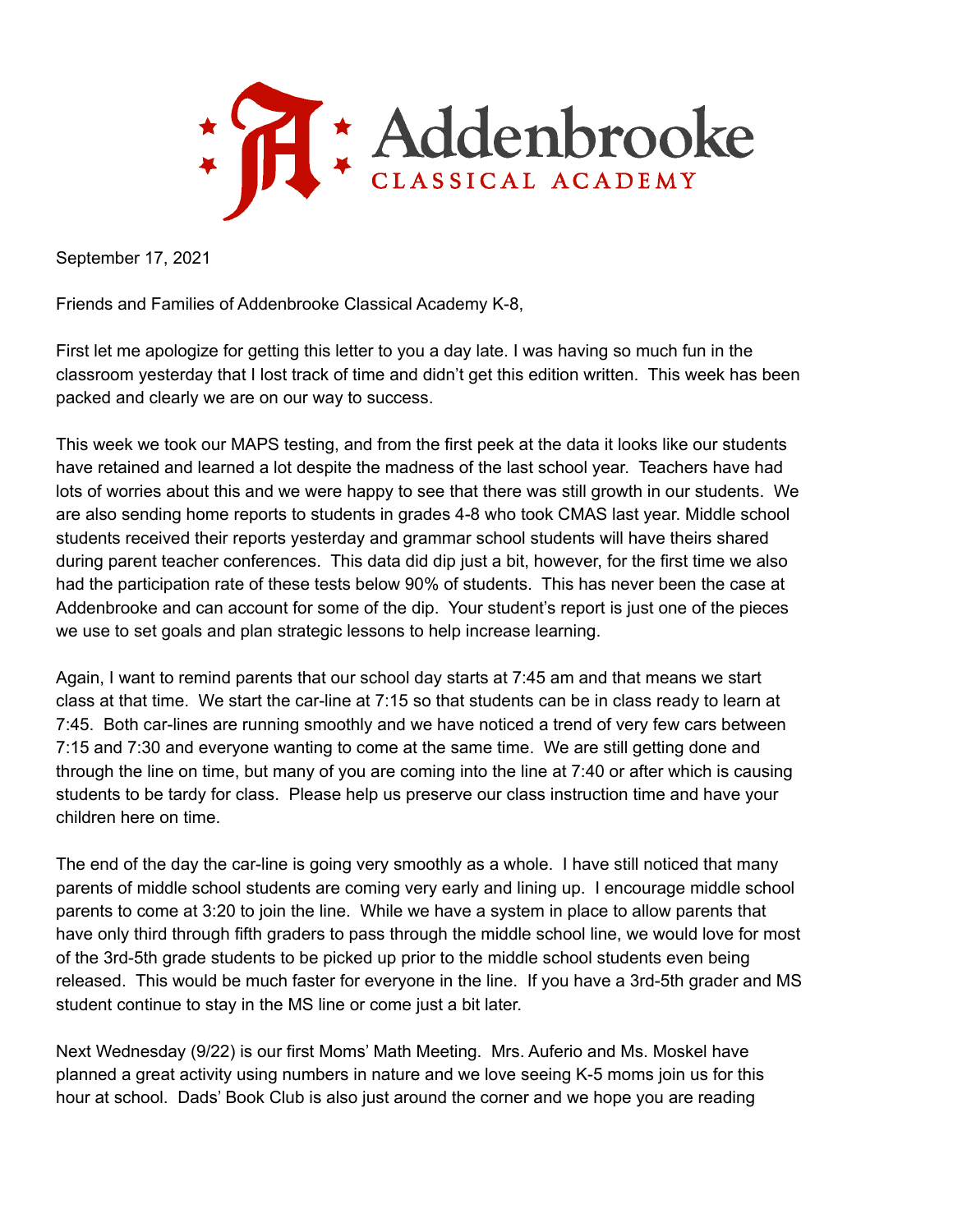

September 17, 2021

Friends and Families of Addenbrooke Classical Academy K-8,

First let me apologize for getting this letter to you a day late. I was having so much fun in the classroom yesterday that I lost track of time and didn't get this edition written. This week has been packed and clearly we are on our way to success.

This week we took our MAPS testing, and from the first peek at the data it looks like our students have retained and learned a lot despite the madness of the last school year. Teachers have had lots of worries about this and we were happy to see that there was still growth in our students. We are also sending home reports to students in grades 4-8 who took CMAS last year. Middle school students received their reports yesterday and grammar school students will have theirs shared during parent teacher conferences. This data did dip just a bit, however, for the first time we also had the participation rate of these tests below 90% of students. This has never been the case at Addenbrooke and can account for some of the dip. Your student's report is just one of the pieces we use to set goals and plan strategic lessons to help increase learning.

Again, I want to remind parents that our school day starts at 7:45 am and that means we start class at that time. We start the car-line at 7:15 so that students can be in class ready to learn at 7:45. Both car-lines are running smoothly and we have noticed a trend of very few cars between 7:15 and 7:30 and everyone wanting to come at the same time. We are still getting done and through the line on time, but many of you are coming into the line at 7:40 or after which is causing students to be tardy for class. Please help us preserve our class instruction time and have your children here on time.

The end of the day the car-line is going very smoothly as a whole. I have still noticed that many parents of middle school students are coming very early and lining up. I encourage middle school parents to come at 3:20 to join the line. While we have a system in place to allow parents that have only third through fifth graders to pass through the middle school line, we would love for most of the 3rd-5th grade students to be picked up prior to the middle school students even being released. This would be much faster for everyone in the line. If you have a 3rd-5th grader and MS student continue to stay in the MS line or come just a bit later.

Next Wednesday (9/22) is our first Moms' Math Meeting. Mrs. Auferio and Ms. Moskel have planned a great activity using numbers in nature and we love seeing K-5 moms join us for this hour at school. Dads' Book Club is also just around the corner and we hope you are reading